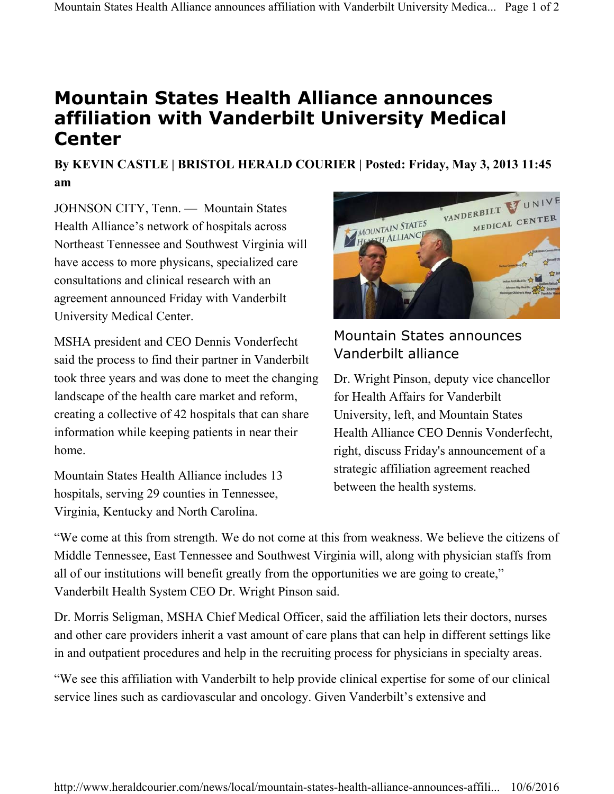## **Mountain States Health Alliance announces affiliation with Vanderbilt University Medical Center**

**By KEVIN CASTLE | BRISTOL HERALD COURIER | Posted: Friday, May 3, 2013 11:45 am** 

JOHNSON CITY, Tenn. — Mountain States Health Alliance's network of hospitals across Northeast Tennessee and Southwest Virginia will have access to more physicans, specialized care consultations and clinical research with an agreement announced Friday with Vanderbilt University Medical Center.

MSHA president and CEO Dennis Vonderfecht said the process to find their partner in Vanderbilt took three years and was done to meet the changing landscape of the health care market and reform, creating a collective of 42 hospitals that can share information while keeping patients in near their home.

Mountain States Health Alliance includes 13 hospitals, serving 29 counties in Tennessee, Virginia, Kentucky and North Carolina.



## Mountain States announces Vanderbilt alliance

Dr. Wright Pinson, deputy vice chancellor for Health Affairs for Vanderbilt University, left, and Mountain States Health Alliance CEO Dennis Vonderfecht, right, discuss Friday's announcement of a strategic affiliation agreement reached between the health systems.

"We come at this from strength. We do not come at this from weakness. We believe the citizens of Middle Tennessee, East Tennessee and Southwest Virginia will, along with physician staffs from all of our institutions will benefit greatly from the opportunities we are going to create," Vanderbilt Health System CEO Dr. Wright Pinson said.

Dr. Morris Seligman, MSHA Chief Medical Officer, said the affiliation lets their doctors, nurses and other care providers inherit a vast amount of care plans that can help in different settings like in and outpatient procedures and help in the recruiting process for physicians in specialty areas.

"We see this affiliation with Vanderbilt to help provide clinical expertise for some of our clinical service lines such as cardiovascular and oncology. Given Vanderbilt's extensive and